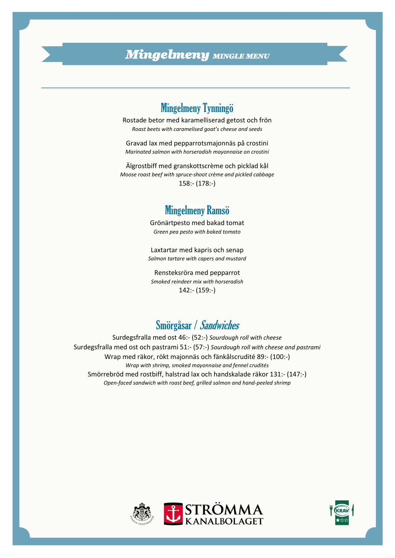## *Mingelmeny MINGLE MENU*

## Mingelmeny Tynningö

Rostade betor med karamelliserad getost och frön *Roast beets with caramelised goat's cheese and seeds* 

Gravad lax med pepparrotsmajonnäs på crostini *Marinated salmon with horseradish mayonnaise on crostini*

Älgrostbiff med granskottscrème och picklad kål *Moose roast beef with spruce-shoot crème and pickled cabbage* 158:- (178:-)

#### Mingelmeny Ramsö

Grönärtpesto med bakad tomat *Green pea pesto with baked tomato*

Laxtartar med kapris och senap *Salmon tartare with capers and mustard* 

Rensteksröra med pepparrot *Smoked reindeer mix with horseradish*  142:- (159:-)

# Smörgåsar / Sandwiches

Surdegsfralla med ost 46:- (52:-) *Sourdough roll with cheese* Surdegsfralla med ost och pastrami 51:- (57:-) *Sourdough roll with cheese and pastrami* Wrap med räkor, rökt majonnäs och fänkålscrudité 89:- (100:-) *Wrap with shrimp, smoked mayonnaise and fennel crudités* Smörrebröd med rostbiff, halstrad lax och handskalade räkor 131:- (147:-) *Open-faced sandwich with roast beef, grilled salmon and hand-peeled shrimp*